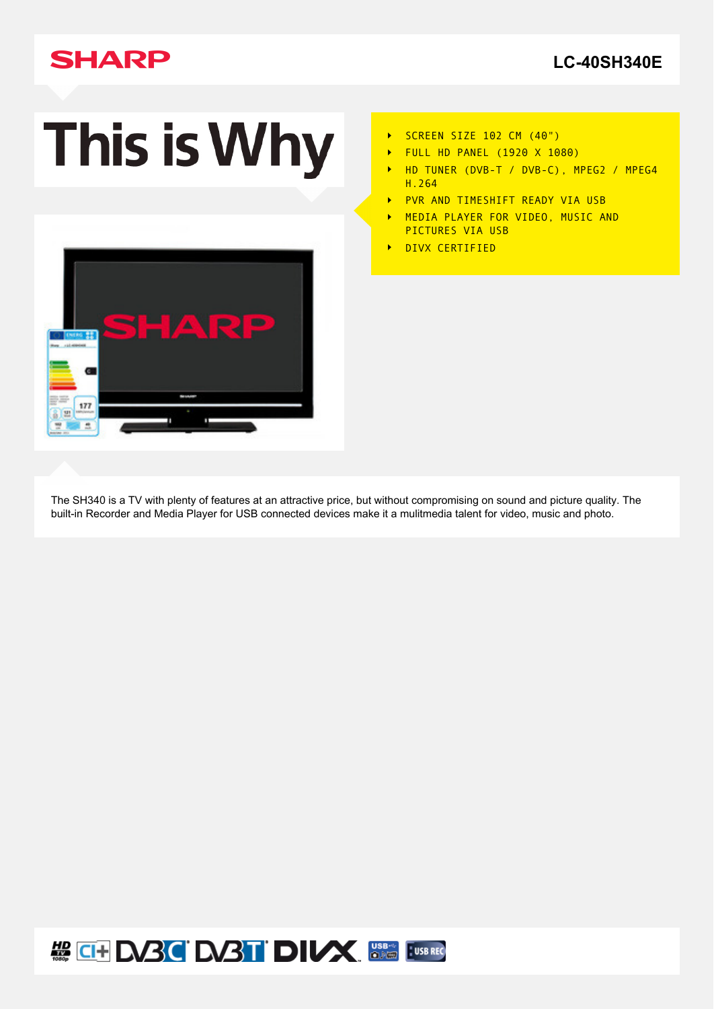# **SHARP**

# This is Why



- SCREEN SIZE 102 CM (40")  $\blacktriangleright$
- FULL HD PANEL (1920 X 1080)  $\ddot{\phantom{1}}$
- $\ddot{\phantom{1}}$ HD TUNER (DVB-T / DVB-C), MPEG2 / MPEG4 H.264
- PVR AND TIMESHIFT READY VIA USB  $\ddot{\phantom{1}}$
- MEDIA PLAYER FOR VIDEO, MUSIC AND  $\ddot{\phantom{1}}$ PICTURES VIA USB
- DIVX CERTIFIED  $\ddot{\phantom{1}}$

The SH340 is a TV with plenty of features at an attractive price, but without compromising on sound and picture quality. The built-in Recorder and Media Player for USB connected devices make it a mulitmedia talent for video, music and photo.